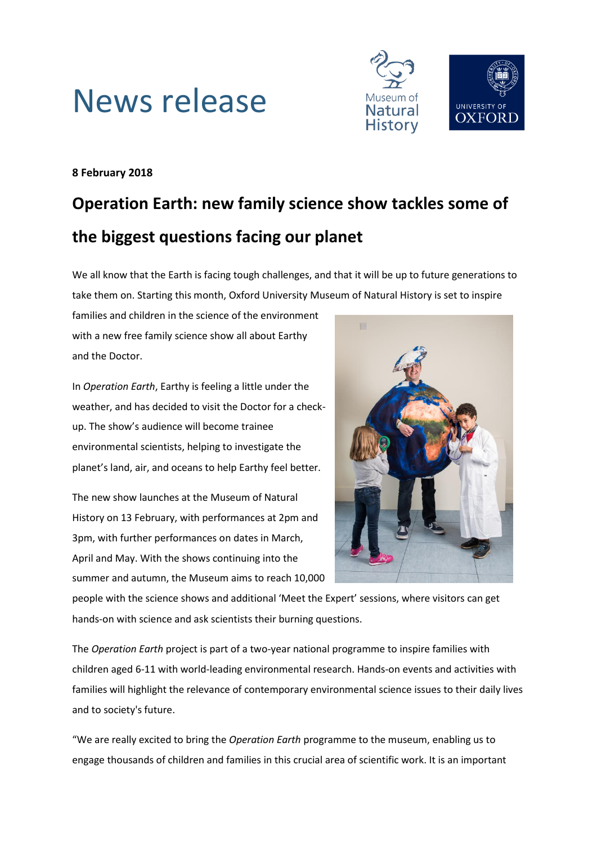



## **8 February 2018**

# **Operation Earth: new family science show tackles some of the biggest questions facing our planet**

We all know that the Earth is facing tough challenges, and that it will be up to future generations to take them on. Starting this month, Oxford University Museum of Natural History is set to inspire

families and children in the science of the environment with a new free family science show all about Earthy and the Doctor.

In *Operation Earth*, Earthy is feeling a little under the weather, and has decided to visit the Doctor for a checkup. The show's audience will become trainee environmental scientists, helping to investigate the planet's land, air, and oceans to help Earthy feel better.

The new show launches at the Museum of Natural History on 13 February, with performances at 2pm and 3pm, with further performances on dates in March, April and May. With the shows continuing into the summer and autumn, the Museum aims to reach 10,000



people with the science shows and additional 'Meet the Expert' sessions, where visitors can get hands-on with science and ask scientists their burning questions.

The *Operation Earth* project is part of a two-year national programme to inspire families with children aged 6-11 with world-leading environmental research. Hands-on events and activities with families will highlight the relevance of contemporary environmental science issues to their daily lives and to society's future.

"We are really excited to bring the *Operation Earth* programme to the museum, enabling us to engage thousands of children and families in this crucial area of scientific work. It is an important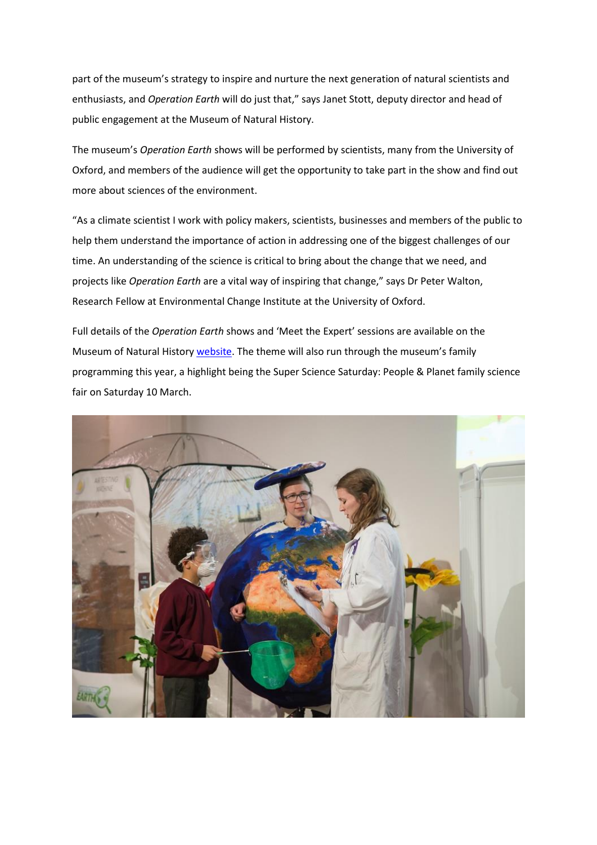part of the museum's strategy to inspire and nurture the next generation of natural scientists and enthusiasts, and *Operation Earth* will do just that," says Janet Stott, deputy director and head of public engagement at the Museum of Natural History.

The museum's *Operation Earth* shows will be performed by scientists, many from the University of Oxford, and members of the audience will get the opportunity to take part in the show and find out more about sciences of the environment.

"As a climate scientist I work with policy makers, scientists, businesses and members of the public to help them understand the importance of action in addressing one of the biggest challenges of our time. An understanding of the science is critical to bring about the change that we need, and projects like *Operation Earth* are a vital way of inspiring that change," says Dr Peter Walton, Research Fellow at Environmental Change Institute at the University of Oxford.

Full details of the *Operation Earth* shows and 'Meet the Expert' sessions are available on the Museum of Natural History [website.](http://www.oum.ox.ac.uk/visiting/operationearth.htm) The theme will also run through the museum's family programming this year, a highlight being the Super Science Saturday: People & Planet family science fair on Saturday 10 March.